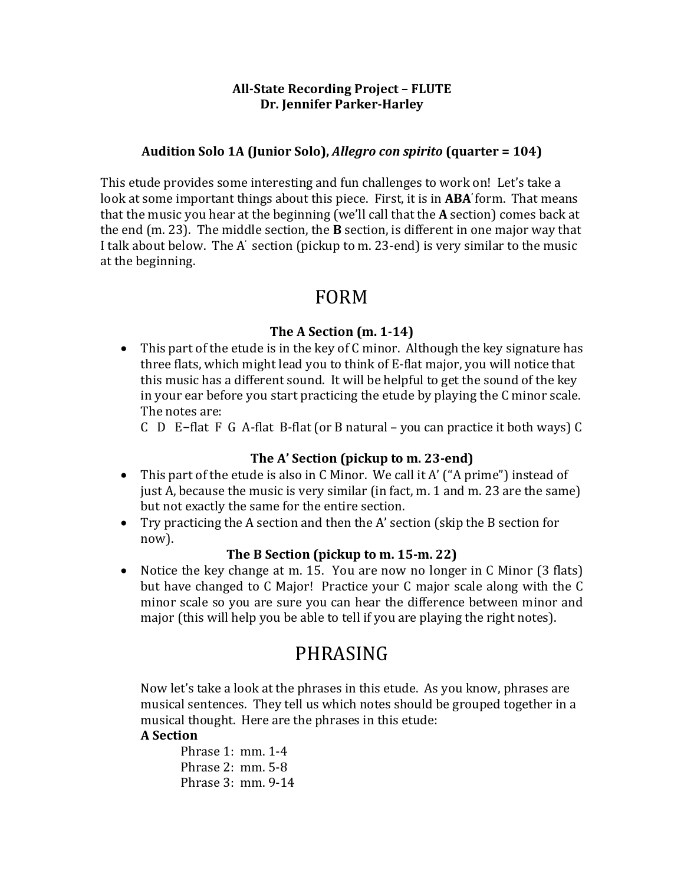#### **All-State Recording Project – FLUTE Dr. Jennifer Parker-Harley**

#### Audition Solo 1A (Junior Solo), *Allegro con spirito* (quarter = 104)

This etude provides some interesting and fun challenges to work on! Let's take a look at some important things about this piece. First, it is in **ABA**' form. That means that the music you hear at the beginning (we'll call that the A section) comes back at the end  $(m. 23)$ . The middle section, the **B** section, is different in one major way that I talk about below. The A' section (pickup to m. 23-end) is very similar to the music at the beginning.

### FORM

#### **The A Section (m. 1-14)**

• This part of the etude is in the key of C minor. Although the key signature has three flats, which might lead you to think of E-flat major, you will notice that this music has a different sound. It will be helpful to get the sound of the key in your ear before you start practicing the etude by playing the C minor scale. The notes are:

C  $\overline{D}$  E-flat F G A-flat B-flat (or B natural – you can practice it both ways) C

#### The A' Section (pickup to m. 23-end)

- This part of the etude is also in C Minor. We call it A' ("A prime") instead of just A, because the music is very similar (in fact, m. 1 and m. 23 are the same) but not exactly the same for the entire section.
- Try practicing the A section and then the A' section (skip the B section for now).

#### **The B Section (pickup to m. 15-m. 22)**

• Notice the key change at m. 15. You are now no longer in C Minor (3 flats) but have changed to  $C$  Major! Practice your  $C$  major scale along with the  $C$ minor scale so you are sure you can hear the difference between minor and major (this will help you be able to tell if you are playing the right notes).

# PHRASING

Now let's take a look at the phrases in this etude. As you know, phrases are musical sentences. They tell us which notes should be grouped together in a musical thought. Here are the phrases in this etude:

### **A Section**

Phrase 1:  $mm. 1-4$ Phrase 2: mm. 5-8 Phrase  $3:$  mm.  $9-14$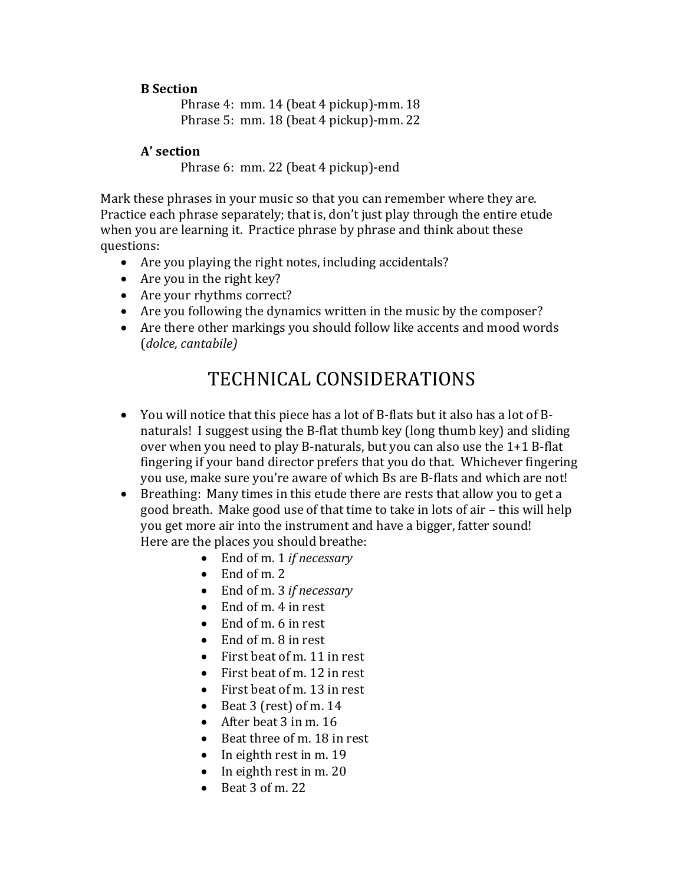#### **B Section**

Phrase 4: mm. 14 (beat 4 pickup)-mm. 18 Phrase 5:  $mm. 18$  (beat 4 pickup)- $mm. 22$ 

#### **A' section**

Phrase 6: mm. 22 (beat 4 pickup)-end

Mark these phrases in your music so that you can remember where they are. Practice each phrase separately; that is, don't just play through the entire etude when you are learning it. Practice phrase by phrase and think about these questions:

- Are you playing the right notes, including accidentals?
- Are you in the right key?
- Are your rhythms correct?
- Are you following the dynamics written in the music by the composer?
- Are there other markings you should follow like accents and mood words (*dolce, cantabile)*

# TECHNICAL CONSIDERATIONS

- You will notice that this piece has a lot of B-flats but it also has a lot of Bnaturals! I suggest using the B-flat thumb key (long thumb key) and sliding over when you need to play B-naturals, but you can also use the  $1+1$  B-flat fingering if your band director prefers that you do that. Whichever fingering you use, make sure you're aware of which Bs are B-flats and which are not!
- Breathing: Many times in this etude there are rests that allow you to get a good breath. Make good use of that time to take in lots of air – this will help you get more air into the instrument and have a bigger, fatter sound! Here are the places you should breathe:
	- End of m. 1 *if necessary*
	- $\bullet$  End of m. 2
	- End of m. 3 *if necessary*
	- End of m.  $4$  in rest
	- End of m. 6 in rest
	- End of m. 8 in rest
	- First beat of m. 11 in rest
	- First beat of m. 12 in rest
	- First beat of m.  $13$  in rest
	- Beat 3 (rest) of m.  $14$
	- After beat  $3$  in m.  $16$
	- Beat three of m. 18 in rest
	- In eighth rest in m. 19
	- In eighth rest in m. 20
	- Beat  $3$  of m. 22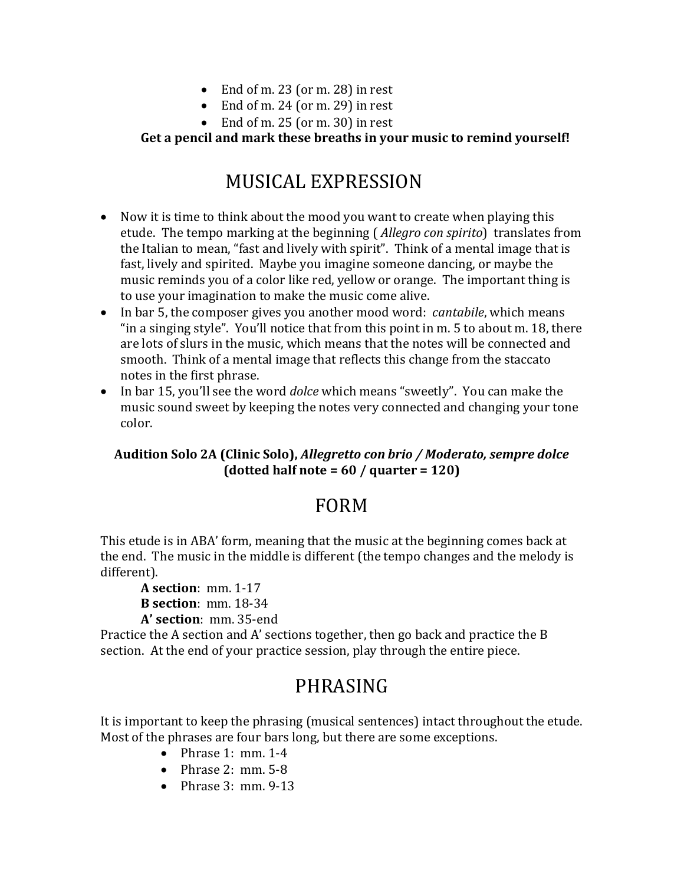- End of m. 23 (or m. 28) in rest
- End of m. 24 (or m. 29) in rest
- End of m.  $25$  (or m. 30) in rest

### Get a pencil and mark these breaths in your music to remind yourself!

# MUSICAL EXPRESSION

- Now it is time to think about the mood you want to create when playing this etude. The tempo marking at the beginning (*Allegro con spirito*) translates from the Italian to mean, "fast and lively with spirit". Think of a mental image that is fast, lively and spirited. Maybe you imagine someone dancing, or maybe the music reminds you of a color like red, yellow or orange. The important thing is to use your imagination to make the music come alive.
- In bar 5, the composer gives you another mood word: *cantabile*, which means "in a singing style". You'll notice that from this point in  $m. 5$  to about  $m. 18$ , there are lots of slurs in the music, which means that the notes will be connected and smooth. Think of a mental image that reflects this change from the staccato notes in the first phrase.
- In bar 15, you'll see the word *dolce* which means "sweetly". You can make the music sound sweet by keeping the notes very connected and changing your tone color.

### Audition Solo 2A (Clinic Solo), *Allegretto con brio* / *Moderato, sempre dolce*  $\text{(dotted half note = } 60 \text{ / quarter = } 120\text{)}$

## FORM

This etude is in ABA' form, meaning that the music at the beginning comes back at the end. The music in the middle is different (the tempo changes and the melody is different). 

**A** section: mm. 1-17 **B** section: mm. 18-34 **A' section**: mm. 35-end

Practice the A section and A' sections together, then go back and practice the B section. At the end of your practice session, play through the entire piece.

# PHRASING

It is important to keep the phrasing (musical sentences) intact throughout the etude. Most of the phrases are four bars long, but there are some exceptions.

- Phrase 1:  $mm. 1-4$
- Phrase  $2: mm, 5-8$
- Phrase  $3: mm$ .  $9-13$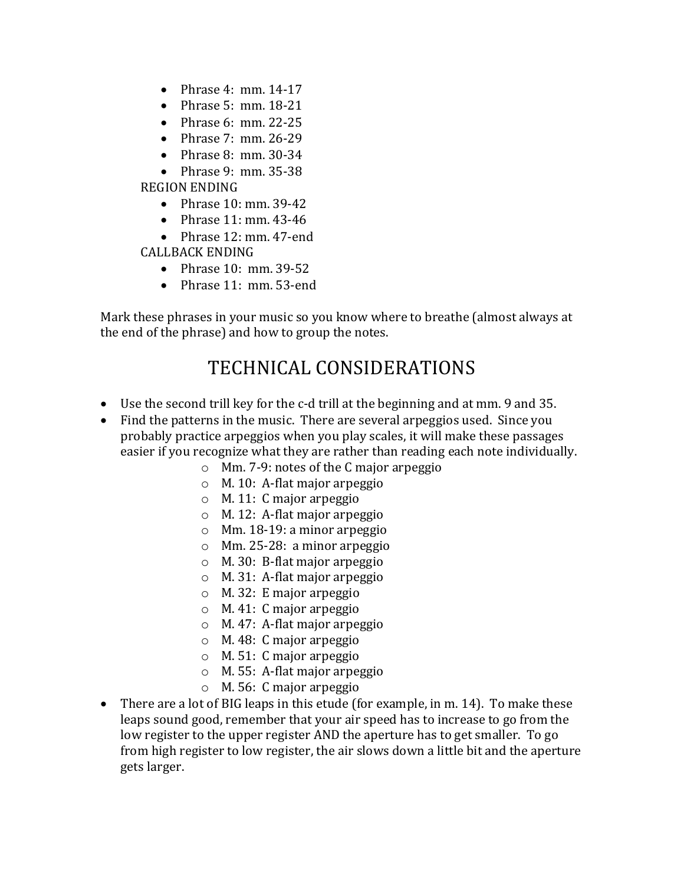- Phrase 4:  $mm. 14-17$
- Phrase 5:  $mm. 18-21$
- Phrase  $6:$  mm. 22-25
- Phrase  $7: mm. 26-29$
- Phrase 8:  $mm. 30-34$
- Phrase 9:  $mm. 35-38$

REGION ENDING

- Phrase  $10:$  mm. 39-42
- Phrase  $11:$  mm.  $43-46$
- Phrase 12: mm. 47-end

CALLBACK ENDING

- Phrase  $10:$  mm.  $39-52$
- Phrase  $11:$  mm. 53-end

Mark these phrases in your music so you know where to breathe (almost always at the end of the phrase) and how to group the notes.

# TECHNICAL CONSIDERATIONS

- Use the second trill key for the c-d trill at the beginning and at mm. 9 and 35.
- Find the patterns in the music. There are several arpeggios used. Since you probably practice arpeggios when you play scales, it will make these passages easier if you recognize what they are rather than reading each note individually.
	- $\circ$  Mm. 7-9: notes of the C major arpeggio
	- $\circ$  M. 10: A-flat major arpeggio
	- $\circ$  M. 11: C major arpeggio
	- $\circ$  M. 12: A-flat major arpeggio
	- $\circ$  Mm. 18-19: a minor arpeggio
	- $\circ$  Mm. 25-28: a minor arpeggio
	- $\circ$  M. 30: B-flat major arpeggio
	- $\circ$  M. 31: A-flat major arpeggio
	- $\circ$  M. 32: E major arpeggio
	- $\circ$  M. 41: C major arpeggio
	- $\circ$  M. 47: A-flat major arpeggio
	- $\circ$  M. 48: C major arpeggio
	- $\circ$  M. 51: C major arpeggio
	- $\circ$  M. 55: A-flat major arpeggio
	- $\circ$  M. 56: C major arpeggio
- There are a lot of BIG leaps in this etude (for example, in m. 14). To make these leaps sound good, remember that your air speed has to increase to go from the low register to the upper register AND the aperture has to get smaller. To go from high register to low register, the air slows down a little bit and the aperture gets larger.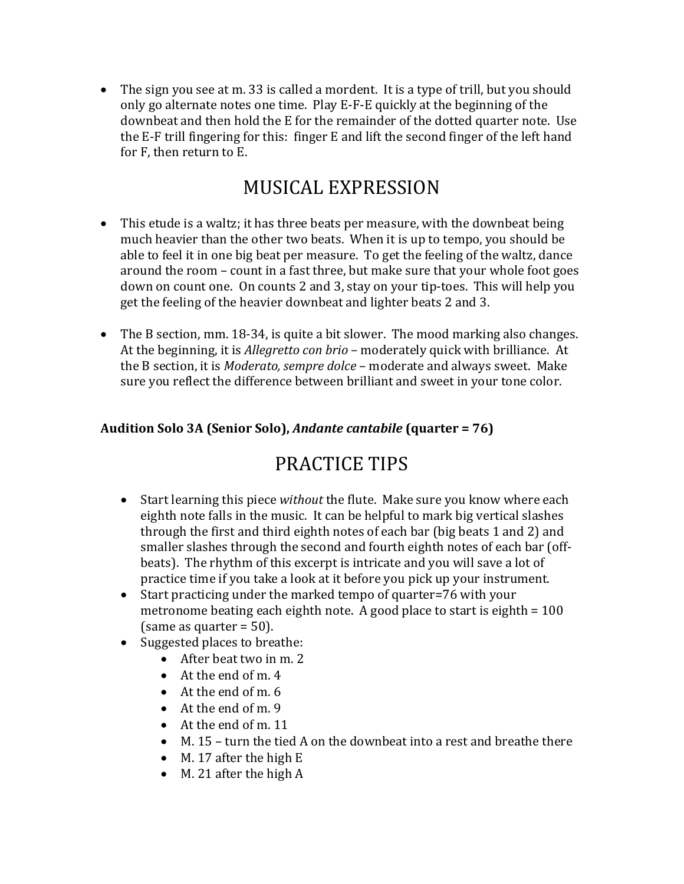• The sign you see at m. 33 is called a mordent. It is a type of trill, but you should only go alternate notes one time. Play E-F-E quickly at the beginning of the downbeat and then hold the E for the remainder of the dotted quarter note. Use the E-F trill fingering for this: finger E and lift the second finger of the left hand for F, then return to E.

# MUSICAL EXPRESSION

- This etude is a waltz; it has three beats per measure, with the downbeat being much heavier than the other two beats. When it is up to tempo, you should be able to feel it in one big beat per measure. To get the feeling of the waltz, dance around the room - count in a fast three, but make sure that your whole foot goes down on count one. On counts 2 and 3, stay on your tip-toes. This will help you get the feeling of the heavier downbeat and lighter beats 2 and 3.
- The B section, mm. 18-34, is quite a bit slower. The mood marking also changes. At the beginning, it is *Allegretto con brio* – moderately quick with brilliance. At the B section, it is *Moderato, sempre dolce* – moderate and always sweet. Make sure you reflect the difference between brilliant and sweet in your tone color.

### Audition Solo 3A (Senior Solo), *Andante cantabile* (quarter = 76)

# PRACTICE TIPS

- Start learning this piece without the flute. Make sure you know where each eighth note falls in the music. It can be helpful to mark big vertical slashes through the first and third eighth notes of each bar (big beats 1 and 2) and smaller slashes through the second and fourth eighth notes of each bar (offbeats). The rhythm of this excerpt is intricate and you will save a lot of practice time if you take a look at it before you pick up your instrument.
- Start practicing under the marked tempo of quarter=76 with your metronome beating each eighth note. A good place to start is eighth =  $100$ (same as quarter  $= 50$ ).
- Suggested places to breathe:
	- After beat two in m. 2
	- At the end of m.  $4$
	- At the end of m. 6
	- At the end of m. 9
	- At the end of m. 11
	- M. 15 turn the tied A on the downbeat into a rest and breathe there
	- M. 17 after the high  $E$
	- M. 21 after the high  $A$